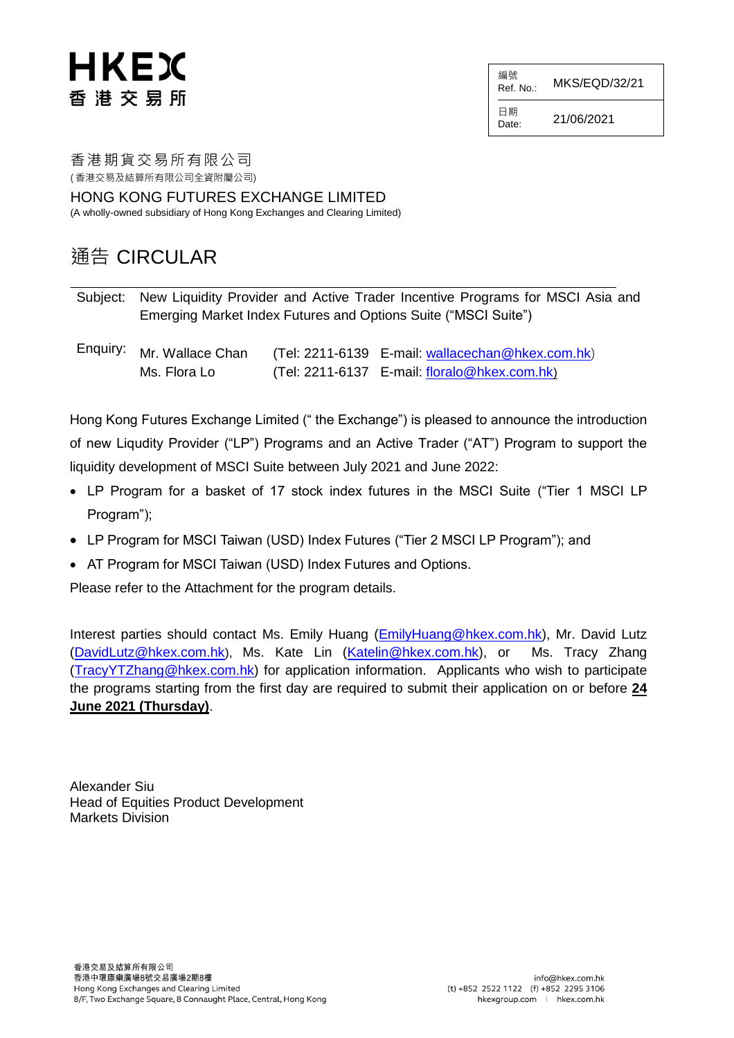# HKEX 香港交易所

編號<br>Ref\_No : **MKS/EQD/32/21** 

日期  $D_{\text{late}}$  21/06/2021

香港期貨交易所有限公司 ( 香港交易及結算所有限公司全資附屬公司)

HONG KONG FUTURES EXCHANGE LIMITED (A wholly-owned subsidiary of Hong Kong Exchanges and Clearing Limited)

### 通告 CIRCULAR

Subject: New Liquidity Provider and Active Trader Incentive Programs for MSCI Asia and Emerging Market Index Futures and Options Suite ("MSCI Suite")

Enquiry: Mr. Wallace Chan (Tel: 2211-6139 E-mail: [wallacechan@hkex.com.hk](mailto:wallacechan@hkex.com.hk)) Ms. Flora Lo (Tel: 2211-6137 E-mail: [floralo@hkex.com.hk](mailto:floralo@hkex.com.hk))

Hong Kong Futures Exchange Limited (" the Exchange") is pleased to announce the introduction of new Liqudity Provider ("LP") Programs and an Active Trader ("AT") Program to support the liquidity development of MSCI Suite between July 2021 and June 2022:

- LP Program for a basket of 17 stock index futures in the MSCI Suite ("Tier 1 MSCI LP Program");
- LP Program for MSCI Taiwan (USD) Index Futures ("Tier 2 MSCI LP Program"); and
- AT Program for MSCI Taiwan (USD) Index Futures and Options.

Please refer to the Attachment for the program details.

Interest parties should contact Ms. Emily Huang [\(EmilyHuang@hkex.com.hk\)](mailto:EmilyHuang@hkex.com.hk), Mr. David Lutz [\(DavidLutz@hkex.com.hk](mailto:DavidLutz@hkex.com.hk)), Ms. Kate Lin [\(Katelin@hkex.com.hk\)](mailto:Katelin@hkex.com.hk), or Ms. Tracy Zhang [\(TracyYTZhang@hkex.com.hk\)](mailto:TracyYTZhang@hkex.com.hk) for application information. Applicants who wish to participate the programs starting from the first day are required to submit their application on or before **24 June 2021 (Thursday)**.

Alexander Siu Head of Equities Product Development Markets Division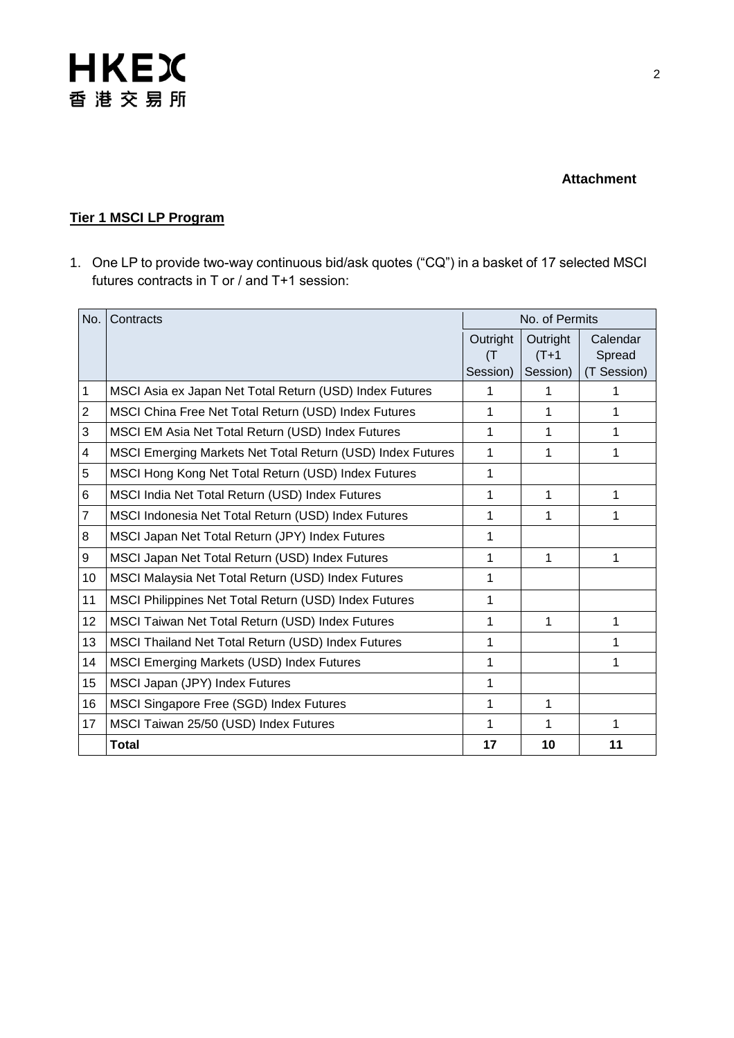

#### **Attachment**

### **Tier 1 MSCI LP Program**

1. One LP to provide two-way continuous bid/ask quotes ("CQ") in a basket of 17 selected MSCI futures contracts in T or / and T+1 session:

| No.            | Contracts                                                  | No. of Permits |          |             |
|----------------|------------------------------------------------------------|----------------|----------|-------------|
|                |                                                            | Outright       | Outright | Calendar    |
|                |                                                            | (T             | $(T+1)$  | Spread      |
|                |                                                            | Session)       | Session) | (T Session) |
| 1              | MSCI Asia ex Japan Net Total Return (USD) Index Futures    | 1              | 1        |             |
| $\overline{2}$ | MSCI China Free Net Total Return (USD) Index Futures       | 1              | 1        | 1           |
| 3              | MSCI EM Asia Net Total Return (USD) Index Futures          | 1              | 1        | 1           |
| 4              | MSCI Emerging Markets Net Total Return (USD) Index Futures | 1              | 1        | 1           |
| 5              | MSCI Hong Kong Net Total Return (USD) Index Futures        | 1              |          |             |
| 6              | MSCI India Net Total Return (USD) Index Futures            | 1              | 1        | 1           |
| $\overline{7}$ | MSCI Indonesia Net Total Return (USD) Index Futures        | 1              | 1        | 1           |
| 8              | MSCI Japan Net Total Return (JPY) Index Futures            | 1              |          |             |
| 9              | MSCI Japan Net Total Return (USD) Index Futures            | 1              | 1        | 1           |
| 10             | MSCI Malaysia Net Total Return (USD) Index Futures         | 1              |          |             |
| 11             | MSCI Philippines Net Total Return (USD) Index Futures      | 1              |          |             |
| 12             | MSCI Taiwan Net Total Return (USD) Index Futures           | 1              | 1        | 1           |
| 13             | MSCI Thailand Net Total Return (USD) Index Futures         | 1              |          | 1           |
| 14             | <b>MSCI Emerging Markets (USD) Index Futures</b>           | 1              |          | 1           |
| 15             | MSCI Japan (JPY) Index Futures                             | 1              |          |             |
| 16             | MSCI Singapore Free (SGD) Index Futures                    | 1              | 1        |             |
| 17             | MSCI Taiwan 25/50 (USD) Index Futures                      | 1              | 1        | 1           |
|                | <b>Total</b>                                               | 17             | 10       | 11          |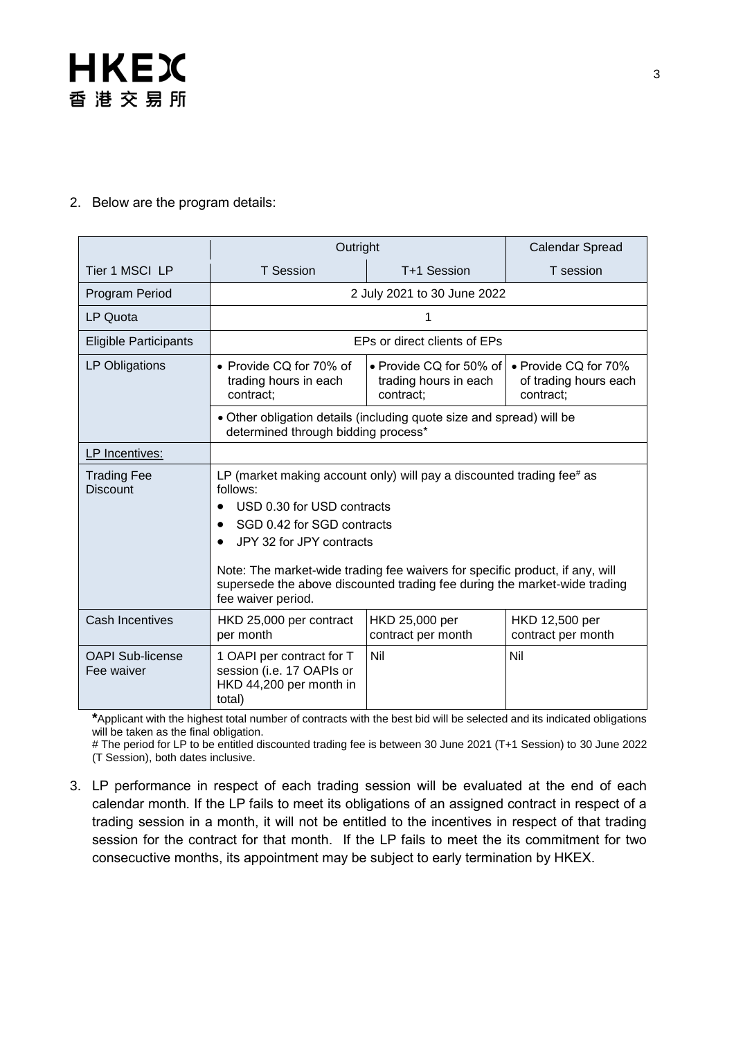

#### 2. Below are the program details:

|                                       | Outright                                                                                                                                                                        |                                                               | <b>Calendar Spread</b>                                     |  |
|---------------------------------------|---------------------------------------------------------------------------------------------------------------------------------------------------------------------------------|---------------------------------------------------------------|------------------------------------------------------------|--|
| Tier 1 MSCI LP                        | <b>T</b> Session                                                                                                                                                                | T+1 Session                                                   | T session                                                  |  |
| Program Period                        | 2 July 2021 to 30 June 2022                                                                                                                                                     |                                                               |                                                            |  |
| LP Quota                              |                                                                                                                                                                                 |                                                               |                                                            |  |
| <b>Eligible Participants</b>          | EPs or direct clients of EPs                                                                                                                                                    |                                                               |                                                            |  |
| LP Obligations                        | • Provide CQ for 70% of<br>trading hours in each<br>contract:                                                                                                                   | • Provide CQ for 50% of<br>trading hours in each<br>contract: | • Provide CQ for 70%<br>of trading hours each<br>contract; |  |
|                                       | • Other obligation details (including quote size and spread) will be<br>determined through bidding process*                                                                     |                                                               |                                                            |  |
| LP Incentives:                        |                                                                                                                                                                                 |                                                               |                                                            |  |
| <b>Trading Fee</b><br><b>Discount</b> | LP (market making account only) will pay a discounted trading fee $#$ as<br>follows:<br>USD 0.30 for USD contracts                                                              |                                                               |                                                            |  |
|                                       | SGD 0.42 for SGD contracts                                                                                                                                                      |                                                               |                                                            |  |
|                                       | JPY 32 for JPY contracts                                                                                                                                                        |                                                               |                                                            |  |
|                                       | Note: The market-wide trading fee waivers for specific product, if any, will<br>supersede the above discounted trading fee during the market-wide trading<br>fee waiver period. |                                                               |                                                            |  |
| <b>Cash Incentives</b>                | HKD 25,000 per contract<br>per month                                                                                                                                            | HKD 25,000 per<br>contract per month                          | HKD 12,500 per<br>contract per month                       |  |
| <b>OAPI Sub-license</b><br>Fee waiver | 1 OAPI per contract for T<br>session (i.e. 17 OAPIs or<br>HKD 44,200 per month in<br>total)                                                                                     | Nil                                                           | Nil                                                        |  |

**\***Applicant with the highest total number of contracts with the best bid will be selected and its indicated obligations will be taken as the final obligation.

# The period for LP to be entitled discounted trading fee is between 30 June 2021 (T+1 Session) to 30 June 2022 (T Session), both dates inclusive.

3. LP performance in respect of each trading session will be evaluated at the end of each calendar month. If the LP fails to meet its obligations of an assigned contract in respect of a trading session in a month, it will not be entitled to the incentives in respect of that trading session for the contract for that month. If the LP fails to meet the its commitment for two consecuctive months, its appointment may be subject to early termination by HKEX.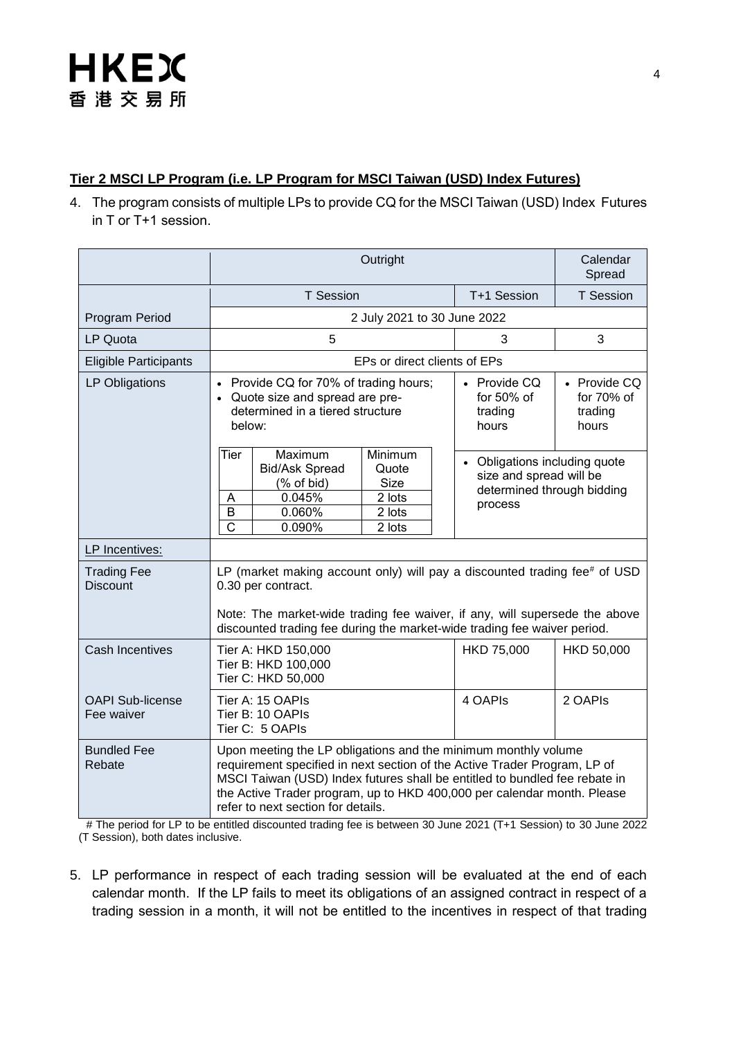# **HKEX** 香港交易所

### **Tier 2 MSCI LP Program (i.e. LP Program for MSCI Taiwan (USD) Index Futures)**

4. The program consists of multiple LPs to provide CQ for the MSCI Taiwan (USD) Index Futures in T or T+1 session.

|                                       | Outright                                                                                                                                                                                                                                                                                                                                   | Calendar<br>Spread                                                                                |                                                  |  |  |
|---------------------------------------|--------------------------------------------------------------------------------------------------------------------------------------------------------------------------------------------------------------------------------------------------------------------------------------------------------------------------------------------|---------------------------------------------------------------------------------------------------|--------------------------------------------------|--|--|
|                                       | <b>T</b> Session                                                                                                                                                                                                                                                                                                                           | T+1 Session                                                                                       | T Session                                        |  |  |
| Program Period                        | 2 July 2021 to 30 June 2022                                                                                                                                                                                                                                                                                                                |                                                                                                   |                                                  |  |  |
| LP Quota                              | 5                                                                                                                                                                                                                                                                                                                                          | 3                                                                                                 | 3                                                |  |  |
| <b>Eligible Participants</b>          | EPs or direct clients of EPs                                                                                                                                                                                                                                                                                                               |                                                                                                   |                                                  |  |  |
| LP Obligations                        | Provide CQ for 70% of trading hours;<br>$\bullet$<br>Quote size and spread are pre-<br>determined in a tiered structure<br>below:                                                                                                                                                                                                          | • Provide CQ<br>for 50% of<br>trading<br>hours                                                    | • Provide CQ<br>for $70%$ of<br>trading<br>hours |  |  |
|                                       | Minimum<br>Tier<br>Maximum<br><b>Bid/Ask Spread</b><br>Quote<br><b>Size</b><br>$(% \mathcal{L}_{0})$ of bid)<br>0.045%<br>2 lots<br>Α<br>B<br>0.060%<br>2 lots<br>$\overline{\text{c}}$<br>0.090%<br>2 lots                                                                                                                                | • Obligations including quote<br>size and spread will be<br>determined through bidding<br>process |                                                  |  |  |
| LP Incentives:                        |                                                                                                                                                                                                                                                                                                                                            |                                                                                                   |                                                  |  |  |
| <b>Trading Fee</b><br><b>Discount</b> | LP (market making account only) will pay a discounted trading fee# of USD<br>0.30 per contract.<br>Note: The market-wide trading fee waiver, if any, will supersede the above<br>discounted trading fee during the market-wide trading fee waiver period.                                                                                  |                                                                                                   |                                                  |  |  |
| <b>Cash Incentives</b>                | Tier A: HKD 150,000<br>Tier B: HKD 100,000<br>Tier C: HKD 50,000                                                                                                                                                                                                                                                                           | HKD 75,000                                                                                        | HKD 50,000                                       |  |  |
| <b>OAPI Sub-license</b><br>Fee waiver | Tier A: 15 OAPIs<br>Tier B: 10 OAPIs<br>Tier C: 5 OAPIs                                                                                                                                                                                                                                                                                    | 4 OAPIS                                                                                           | 2 OAPIS                                          |  |  |
| <b>Bundled Fee</b><br>Rebate          | Upon meeting the LP obligations and the minimum monthly volume<br>requirement specified in next section of the Active Trader Program, LP of<br>MSCI Taiwan (USD) Index futures shall be entitled to bundled fee rebate in<br>the Active Trader program, up to HKD 400,000 per calendar month. Please<br>refer to next section for details. |                                                                                                   |                                                  |  |  |

 # The period for LP to be entitled discounted trading fee is between 30 June 2021 (T+1 Session) to 30 June 2022 (T Session), both dates inclusive.

5. LP performance in respect of each trading session will be evaluated at the end of each calendar month. If the LP fails to meet its obligations of an assigned contract in respect of a trading session in a month, it will not be entitled to the incentives in respect of that trading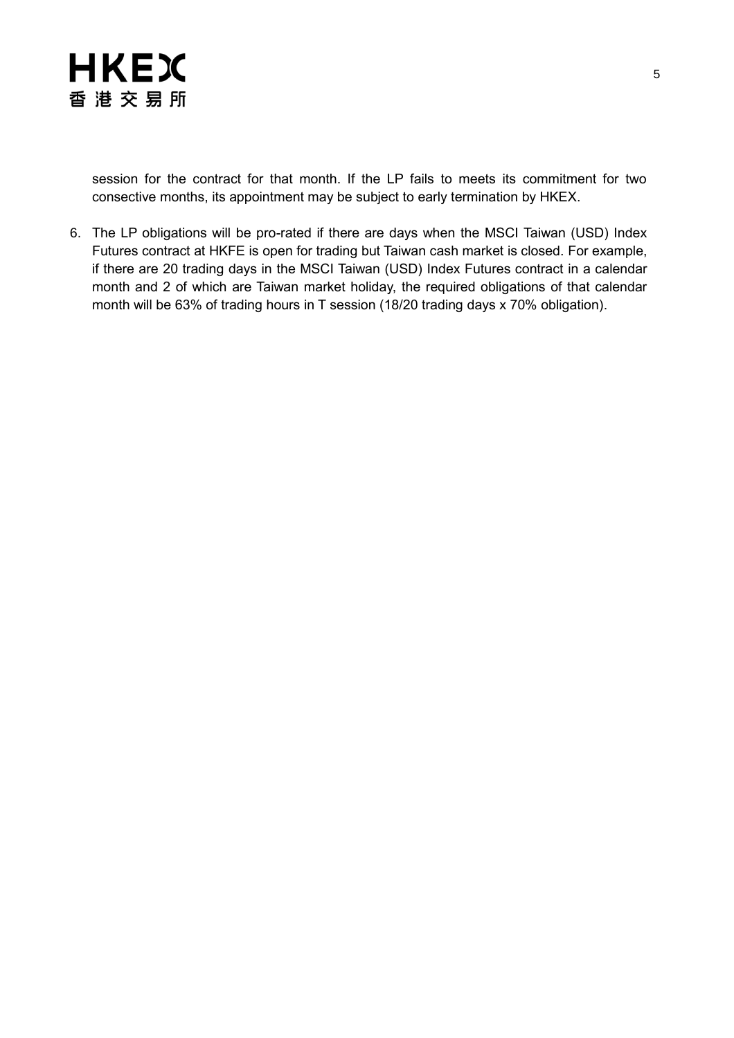

session for the contract for that month. If the LP fails to meets its commitment for two consective months, its appointment may be subject to early termination by HKEX.

6. The LP obligations will be pro-rated if there are days when the MSCI Taiwan (USD) Index Futures contract at HKFE is open for trading but Taiwan cash market is closed. For example, if there are 20 trading days in the MSCI Taiwan (USD) Index Futures contract in a calendar month and 2 of which are Taiwan market holiday, the required obligations of that calendar month will be 63% of trading hours in T session (18/20 trading days x 70% obligation).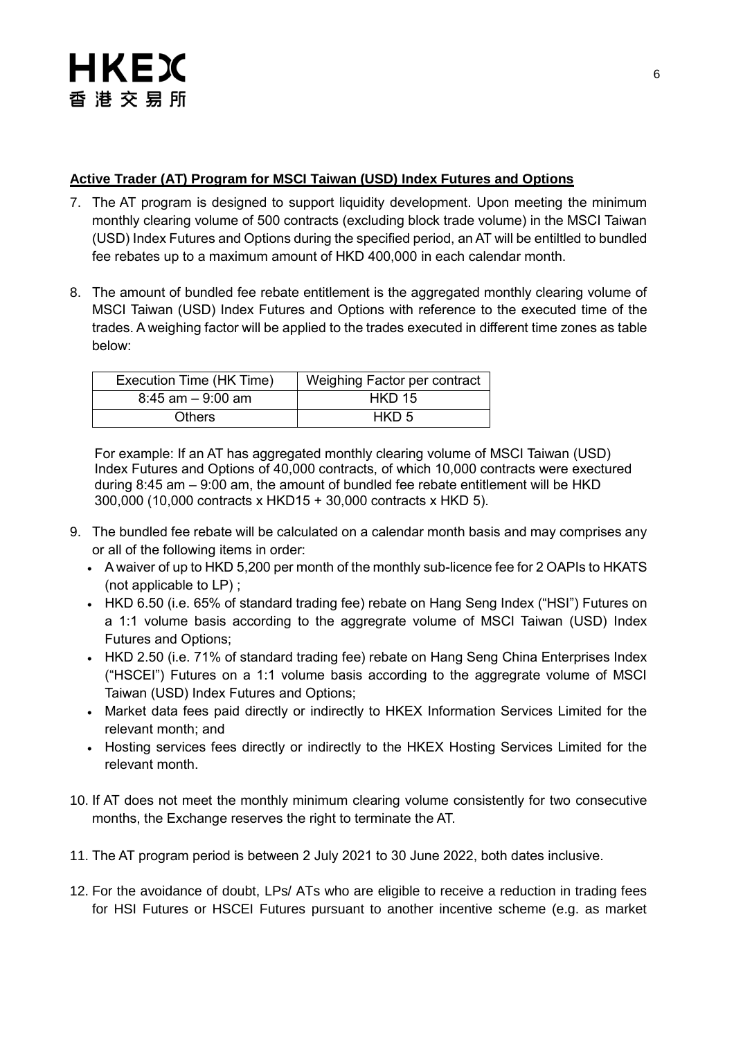### **Active Trader (AT) Program for MSCI Taiwan (USD) Index Futures and Options**

- 7. The AT program is designed to support liquidity development. Upon meeting the minimum monthly clearing volume of 500 contracts (excluding block trade volume) in the MSCI Taiwan (USD) Index Futures and Options during the specified period, an AT will be entiltled to bundled fee rebates up to a maximum amount of HKD 400,000 in each calendar month.
- 8. The amount of bundled fee rebate entitlement is the aggregated monthly clearing volume of MSCI Taiwan (USD) Index Futures and Options with reference to the executed time of the trades. A weighing factor will be applied to the trades executed in different time zones as table below:

| Execution Time (HK Time) | Weighing Factor per contract |
|--------------------------|------------------------------|
| $8:45$ am $-9:00$ am     | <b>HKD 15</b>                |
| <b>Others</b>            | HKD 5                        |

For example: If an AT has aggregated monthly clearing volume of MSCI Taiwan (USD) Index Futures and Options of 40,000 contracts, of which 10,000 contracts were exectured during 8:45 am – 9:00 am, the amount of bundled fee rebate entitlement will be HKD 300,000 (10,000 contracts x HKD15 + 30,000 contracts x HKD 5).

- 9. The bundled fee rebate will be calculated on a calendar month basis and may comprises any or all of the following items in order:
	- A waiver of up to HKD 5,200 per month of the monthly sub-licence fee for 2 OAPIs to HKATS (not applicable to LP) ;
	- HKD 6.50 (i.e. 65% of standard trading fee) rebate on Hang Seng Index ("HSI") Futures on a 1:1 volume basis according to the aggregrate volume of MSCI Taiwan (USD) Index Futures and Options;
	- HKD 2.50 (i.e. 71% of standard trading fee) rebate on Hang Seng China Enterprises Index ("HSCEI") Futures on a 1:1 volume basis according to the aggregrate volume of MSCI Taiwan (USD) Index Futures and Options;
	- Market data fees paid directly or indirectly to HKEX Information Services Limited for the relevant month; and
	- Hosting services fees directly or indirectly to the HKEX Hosting Services Limited for the relevant month.
- 10. If AT does not meet the monthly minimum clearing volume consistently for two consecutive months, the Exchange reserves the right to terminate the AT.
- 11. The AT program period is between 2 July 2021 to 30 June 2022, both dates inclusive.
- 12. For the avoidance of doubt, LPs/ ATs who are eligible to receive a reduction in trading fees for HSI Futures or HSCEI Futures pursuant to another incentive scheme (e.g. as market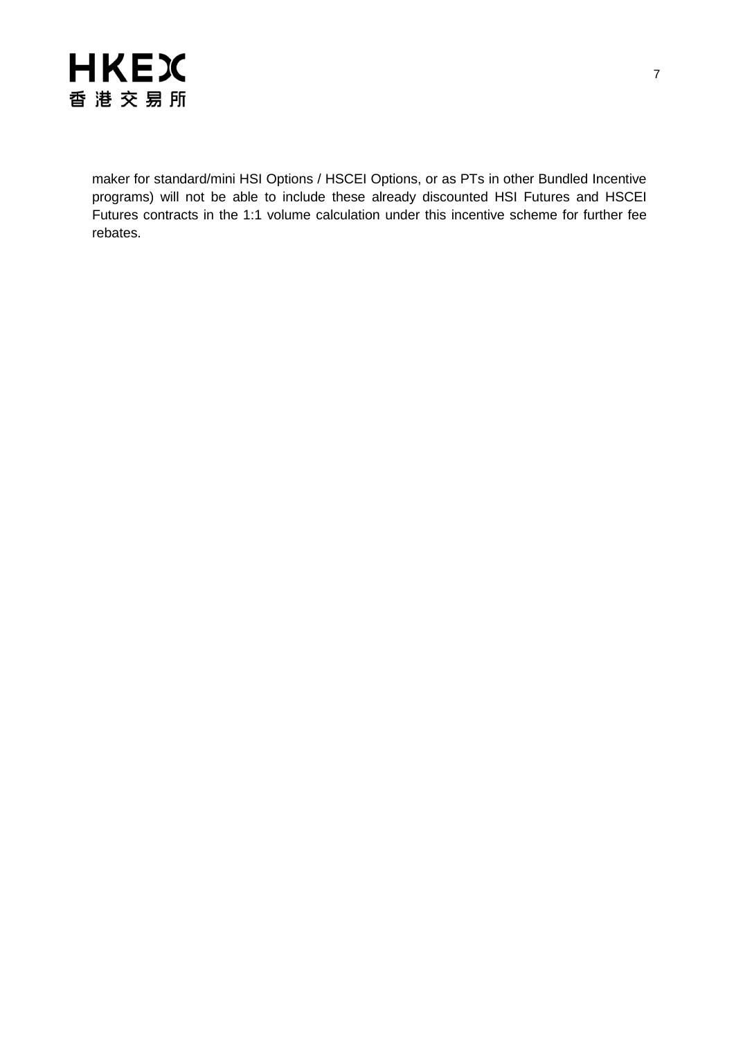

maker for standard/mini HSI Options / HSCEI Options, or as PTs in other Bundled Incentive programs) will not be able to include these already discounted HSI Futures and HSCEI Futures contracts in the 1:1 volume calculation under this incentive scheme for further fee rebates.